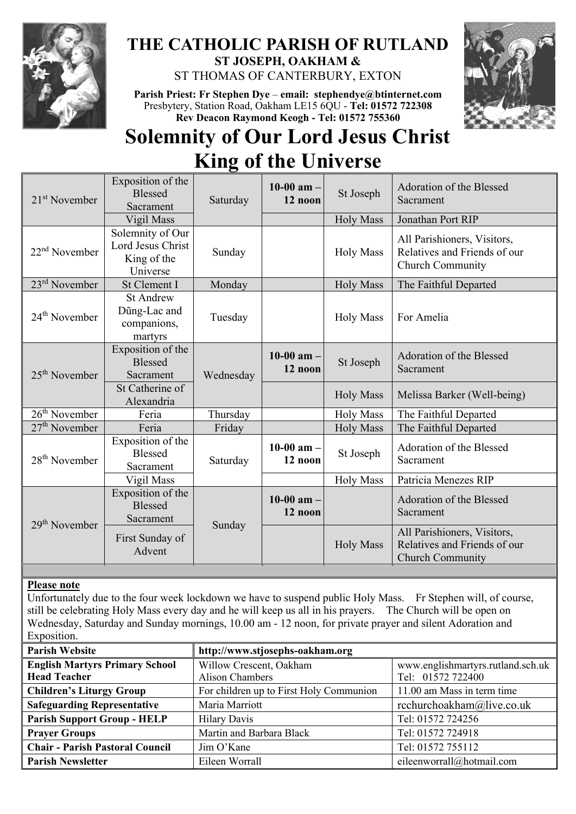

# **THE CATHOLIC PARISH OF RUTLAND ST JOSEPH, OAKHAM &**  ST THOMAS OF CANTERBURY, EXTON

**Parish Priest: Fr Stephen Dye** – **[email: stephendye@btinternet.com](mailto:email:%20%20stephendye@btinternet.com)** Presbytery, Station Road, Oakham LE15 6QU - **Tel: 01572 722308 Rev Deacon Raymond Keogh - Tel: 01572 755360**



# **Solemnity of Our Lord Jesus Christ King of the Universe**

| $21st$ November | Exposition of the<br><b>Blessed</b><br>Sacrament                 | Saturday  | 10-00 am $-$<br>12 noon   | St Joseph        | Adoration of the Blessed<br>Sacrament                                                  |
|-----------------|------------------------------------------------------------------|-----------|---------------------------|------------------|----------------------------------------------------------------------------------------|
|                 | Vigil Mass                                                       |           |                           | <b>Holy Mass</b> | Jonathan Port RIP                                                                      |
| $22nd$ November | Solemnity of Our<br>Lord Jesus Christ<br>King of the<br>Universe | Sunday    |                           | <b>Holy Mass</b> | All Parishioners, Visitors,<br>Relatives and Friends of our<br>Church Community        |
| $23rd$ November | St Clement I                                                     | Monday    |                           | <b>Holy Mass</b> | The Faithful Departed                                                                  |
| $24th$ November | <b>St Andrew</b><br>Dũng-Lac and<br>companions,<br>martyrs       | Tuesday   |                           | <b>Holy Mass</b> | For Amelia                                                                             |
| $25th$ November | Exposition of the<br><b>Blessed</b><br>Sacrament                 | Wednesday | $10-00$ am $-$<br>12 noon | St Joseph        | Adoration of the Blessed<br>Sacrament                                                  |
|                 | St Catherine of<br>Alexandria                                    |           |                           | <b>Holy Mass</b> | Melissa Barker (Well-being)                                                            |
| $26th$ November | Feria                                                            | Thursday  |                           | <b>Holy Mass</b> | The Faithful Departed                                                                  |
| $27th$ November | Feria                                                            | Friday    |                           | <b>Holy Mass</b> | The Faithful Departed                                                                  |
| $28th$ November | Exposition of the<br><b>Blessed</b><br>Sacrament                 | Saturday  | 10-00 am $-$<br>12 noon   | St Joseph        | Adoration of the Blessed<br>Sacrament                                                  |
|                 | Vigil Mass                                                       |           |                           | <b>Holy Mass</b> | Patricia Menezes RIP                                                                   |
| $29th$ November | Exposition of the<br><b>Blessed</b><br>Sacrament                 | Sunday    | $10-00$ am $-$<br>12 noon |                  | Adoration of the Blessed<br>Sacrament                                                  |
|                 | First Sunday of<br>Advent                                        |           |                           | <b>Holy Mass</b> | All Parishioners, Visitors,<br>Relatives and Friends of our<br><b>Church Community</b> |

## **Please note**

Unfortunately due to the four week lockdown we have to suspend public Holy Mass. Fr Stephen will, of course, still be celebrating Holy Mass every day and he will keep us all in his prayers. The Church will be open on Wednesday, Saturday and Sunday mornings, 10.00 am - 12 noon, for private prayer and silent Adoration and Exposition.

| <b>Parish Website</b>                  | http://www.stjosephs-oakham.org         |                                   |  |  |
|----------------------------------------|-----------------------------------------|-----------------------------------|--|--|
| <b>English Martyrs Primary School</b>  | Willow Crescent, Oakham                 | www.englishmartyrs.rutland.sch.uk |  |  |
| <b>Head Teacher</b>                    | Alison Chambers                         | Tel: 01572 722400                 |  |  |
| <b>Children's Liturgy Group</b>        | For children up to First Holy Communion | 11.00 am Mass in term time        |  |  |
| <b>Safeguarding Representative</b>     | Maria Marriott                          | rcchurchoakham@live.co.uk         |  |  |
| <b>Parish Support Group - HELP</b>     | <b>Hilary Davis</b>                     | Tel: 01572 724256                 |  |  |
| <b>Prayer Groups</b>                   | Martin and Barbara Black                | Tel: 01572 724918                 |  |  |
| <b>Chair - Parish Pastoral Council</b> | Jim O'Kane                              | Tel: 01572 755112                 |  |  |
| <b>Parish Newsletter</b>               | Eileen Worrall                          | eileenworrall@hotmail.com         |  |  |